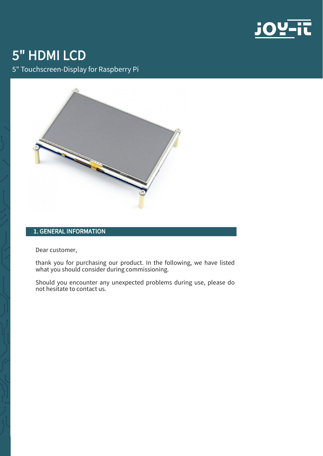

# 5" HDMI LCD

5" Touchscreen-Display for Raspberry Pi



# 1. GENERAL INFORMATION

Dear customer,

thank you for purchasing our product. In the following, we have listed what you should consider during commissioning.

Should you encounter any unexpected problems during use, please do not hesitate to contact us.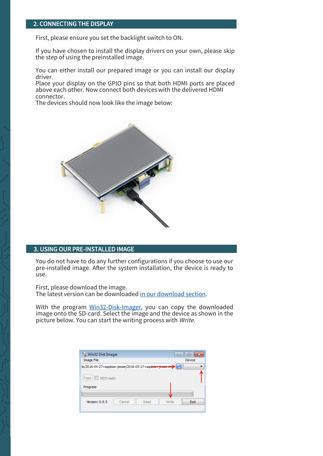### 2. CONNECTING THE DISPLAY

First, please ensure you set the backlight switch to ON.

If you have chosen to install the display drivers on your own, please skip the step of using the preinstalled image.

You can either install our prepared image or you can install our display driver.

Place your display on the GPIO pins so that both HDMI ports are placed above each other. Now connect both devices with the delivered HDMI connector.

The devices should now look like the image below:



#### 3. USING OUR PRE-INSTALLED IMAGE

You do not have to do any further configurations if you choose to use our pre-installed image. After the system installation, the device is ready to use.

First, please download the image. The latest version can be downloaded [in our download section.](https://joy-it.net/en/products/RB-LCD-5)

With the program Win32-Disk-[Imager,](https://sourceforge.net/projects/win32diskimager/) you can copy the downloaded image onto the SD-card. Select the image and the device as shown in the picture below. You can start the writing process with Write.

| Win32 Disk Imager<br><b>Image File</b><br>1s/2016-05-27-raspbian-jessie/2016-05-27-raspbian-jessie.img | $\equiv$<br>Device |
|--------------------------------------------------------------------------------------------------------|--------------------|
| MD5 Hash:<br>Copy<br>Progress                                                                          |                    |
| Version: 0.9.5<br>Cancel<br>Read<br>Write                                                              | Exit<br>лî         |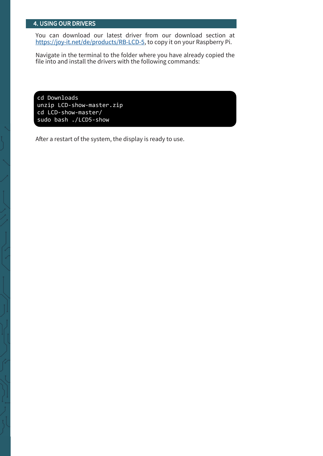#### 4. USING OUR DRIVERS

You can download our latest driver from our download section at https://joy-[it.net/de/products/RB](https://joy-it.net/de/products/RB-LCD-5)-LCD-5, to copy it on your Raspberry Pi.

Navigate in the terminal to the folder where you have already copied the file into and install the drivers with the following commands:

cd Downloads unzip LCD-show-master.zip cd LCD-show-master/ sudo bash ./LCD5-show

After a restart of the system, the display is ready to use.